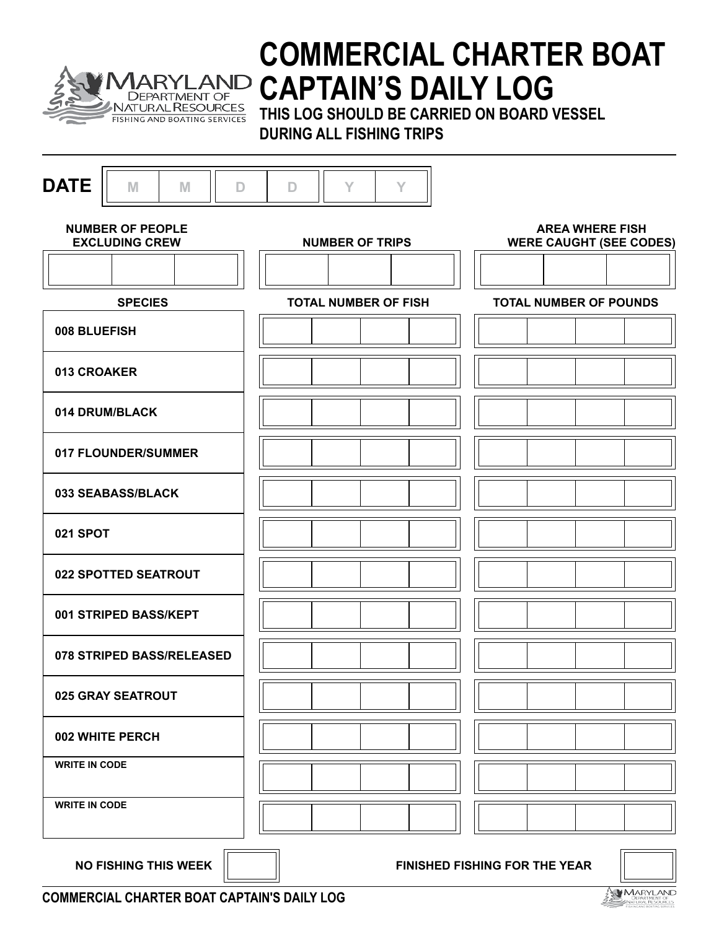

# **COMMERCIAL CHARTER BOAT CAPTAIN'S DAILY LOG**

**THIS LOG SHOULD BE CARRIED ON BOARD VESSEL DURING ALL FISHING TRIPS**

| <b>DATE</b><br>M<br>M<br>D                       | Y<br>Y<br>D                 |                                                          |
|--------------------------------------------------|-----------------------------|----------------------------------------------------------|
| <b>NUMBER OF PEOPLE</b><br><b>EXCLUDING CREW</b> | <b>NUMBER OF TRIPS</b>      | <b>AREA WHERE FISH</b><br><b>WERE CAUGHT (SEE CODES)</b> |
|                                                  |                             |                                                          |
| <b>SPECIES</b>                                   | <b>TOTAL NUMBER OF FISH</b> | <b>TOTAL NUMBER OF POUNDS</b>                            |
| 008 BLUEFISH                                     |                             |                                                          |
| 013 CROAKER                                      |                             |                                                          |
| 014 DRUM/BLACK                                   |                             |                                                          |
| 017 FLOUNDER/SUMMER                              |                             |                                                          |
| 033 SEABASS/BLACK                                |                             |                                                          |
| 021 SPOT                                         |                             |                                                          |
| 022 SPOTTED SEATROUT                             |                             |                                                          |
| 001 STRIPED BASS/KEPT                            |                             |                                                          |
| 078 STRIPED BASS/RELEASED                        |                             |                                                          |
| 025 GRAY SEATROUT                                |                             |                                                          |
| 002 WHITE PERCH                                  |                             |                                                          |
| <b>WRITE IN CODE</b>                             |                             |                                                          |
| <b>WRITE IN CODE</b>                             |                             |                                                          |
| <b>NO FISHING THIS WEEK</b>                      |                             | FINISHED FISHING FOR THE YEAR                            |

**COMMERCIAL CHARTER BOAT CAPTAIN'S DAILY LOG**

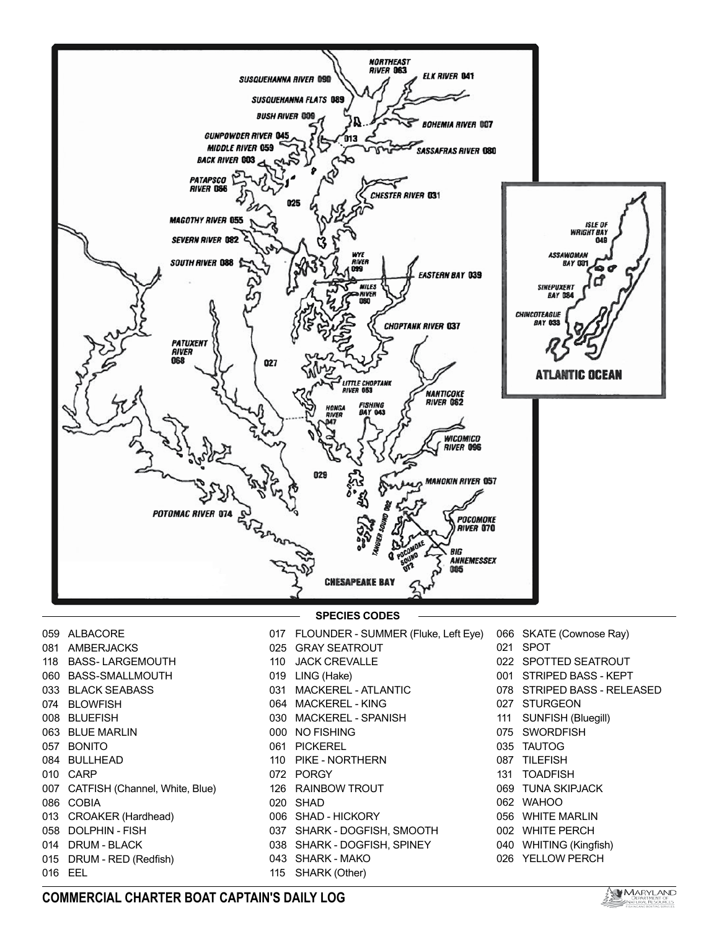

- ALBACORE 081 AMBERJACKS BASS- LARGEMOUTH BASS-SMALLMOUTH BLACK SEABASS 074 BLOWFISH BLUEFISH BLUE MARLIN BONITO 084 BULLHEAD CARP CATFISH (Channel, White, Blue) COBIA CROAKER (Hardhead) DOLPHIN - FISH DRUM - BLACK 015 DRUM - RED (Redfish) FLOUNDER - SUMMER (Fluke, Left Eye) GRAY SEATROUT JACK CREVALLE LING (Hake) MACKEREL - ATLANTIC MACKEREL - KING MACKEREL - SPANISH NO FISHING PICKEREL PIKE - NORTHERN PORGY RAINBOW TROUT SHAD SHAD - HICKORY SHARK - DOGFISH, SMOOTH SHARK - DOGFISH, SPINEY SHARK - MAKO SHARK (Other) **SPECIES CODES**
	- 066 SKATE (Cownose Ray) SPOT
	- 022 SPOTTED SEATROUT
	- Striped Bass kept
	- striped bass released
	- 027 STURGEON
	-
	- 111 SUNFISH (Bluegill)
	- SWORDFISH
	- TAUTOG
	- TILEFISH
	- TOADFISH
	- TUNA SKIPJACK
	- WAHOO
	- WHITE MARLIN
	- WHITE PERCH
	- 040 WHITING (Kingfish)
	- YELLOW PERCH

EEL